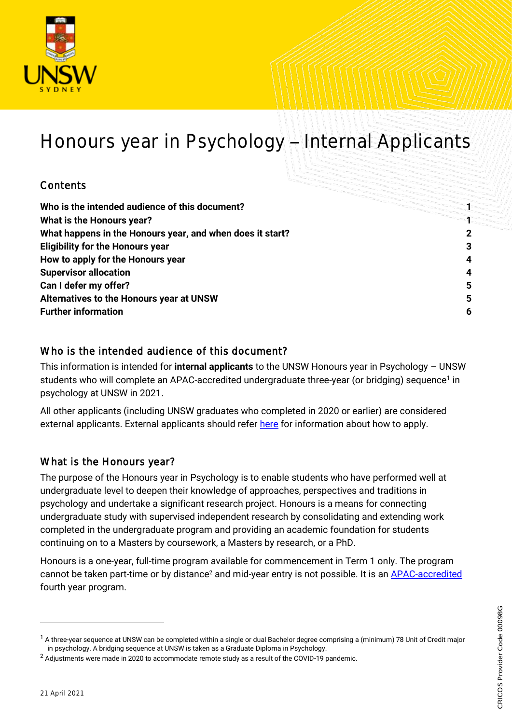

# Honours year in Psychology - Internal Applicants

# **Contents**

| Who is the intended audience of this document?            |   |
|-----------------------------------------------------------|---|
| What is the Honours year?                                 |   |
| What happens in the Honours year, and when does it start? |   |
| <b>Eligibility for the Honours year</b>                   |   |
| How to apply for the Honours year                         | 4 |
| <b>Supervisor allocation</b>                              | 4 |
| Can I defer my offer?                                     | 5 |
| Alternatives to the Honours year at UNSW                  | 5 |
| <b>Further information</b>                                | 6 |

# <span id="page-0-0"></span>Who is the intended audience of this document?

This information is intended for **internal applicants** to the UNSW Honours year in Psychology – UNSW students who will complete an APAC-accredited undergraduate three-year (or bridging) sequence<sup>1</sup> in psychology at UNSW in 2021.

All other applicants (including UNSW graduates who completed in 2020 or earlier) are considered external applicants. External applicants should refer [here](https://www.psy.unsw.edu.au/future-students/undergraduate/programs/honours) for information about how to apply.

# <span id="page-0-1"></span>What is the Honours year?

The purpose of the Honours year in Psychology is to enable students who have performed well at undergraduate level to deepen their knowledge of approaches, perspectives and traditions in psychology and undertake a significant research project. Honours is a means for connecting undergraduate study with supervised independent research by consolidating and extending work completed in the undergraduate program and providing an academic foundation for students continuing on to a Masters by coursework, a Masters by research, or a PhD.

Honours is a one-year, full-time program available for commencement in Term 1 only. The program cannot be taken part-time or by distance<sup>2</sup> and mid-year entry is not possible. It is an **APAC-accredited** fourth year program.

l

 $1$  A three-year sequence at UNSW can be completed within a single or dual Bachelor degree comprising a (minimum) 78 Unit of Credit major in psychology. A bridging sequence at UNSW is taken as a Graduate Diploma in Psychology.

<sup>&</sup>lt;sup>2</sup> Adjustments were made in 2020 to accommodate remote study as a result of the COVID-19 pandemic.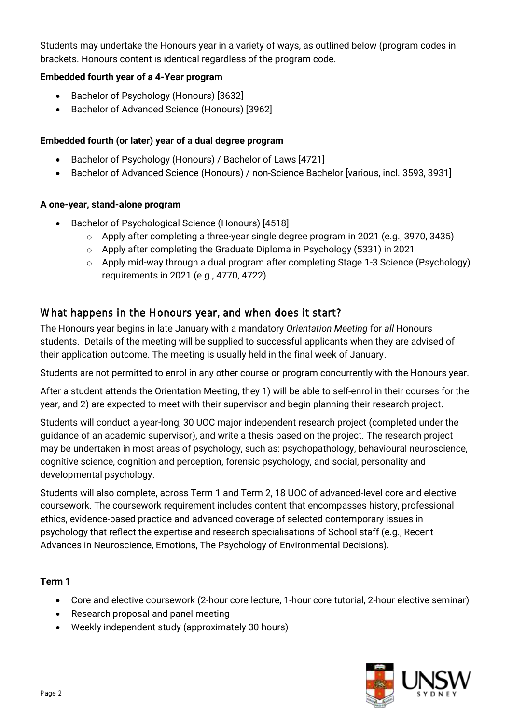Students may undertake the Honours year in a variety of ways, as outlined below (program codes in brackets. Honours content is identical regardless of the program code.

#### **Embedded fourth year of a 4-Year program**

- Bachelor of Psychology (Honours) [3632]
- Bachelor of Advanced Science (Honours) [3962]

#### **Embedded fourth (or later) year of a dual degree program**

- Bachelor of Psychology (Honours) / Bachelor of Laws [4721]
- Bachelor of Advanced Science (Honours) / non-Science Bachelor [various, incl. 3593, 3931]

#### **A one-year, stand-alone program**

- Bachelor of Psychological Science (Honours) [4518]
	- $\circ$  Apply after completing a three-year single degree program in 2021 (e.g., 3970, 3435)
	- $\circ$  Apply after completing the Graduate Diploma in Psychology (5331) in 2021
	- $\circ$  Apply mid-way through a dual program after completing Stage 1-3 Science (Psychology) requirements in 2021 (e.g., 4770, 4722)

# <span id="page-1-0"></span>What happens in the Honours year, and when does it start?

The Honours year begins in late January with a mandatory *Orientation Meeting* for *all* Honours students. Details of the meeting will be supplied to successful applicants when they are advised of their application outcome. The meeting is usually held in the final week of January.

Students are not permitted to enrol in any other course or program concurrently with the Honours year.

After a student attends the Orientation Meeting, they 1) will be able to self-enrol in their courses for the year, and 2) are expected to meet with their supervisor and begin planning their research project.

Students will conduct a year-long, 30 UOC major independent research project (completed under the guidance of an academic supervisor), and write a thesis based on the project. The research project may be undertaken in most areas of psychology, such as: psychopathology, behavioural neuroscience, cognitive science, cognition and perception, forensic psychology, and social, personality and developmental psychology.

Students will also complete, across Term 1 and Term 2, 18 UOC of advanced-level core and elective coursework. The coursework requirement includes content that encompasses history, professional ethics, evidence-based practice and advanced coverage of selected contemporary issues in psychology that reflect the expertise and research specialisations of School staff (e.g., Recent Advances in Neuroscience, Emotions, The Psychology of Environmental Decisions).

#### **Term 1**

- Core and elective coursework (2-hour core lecture, 1-hour core tutorial, 2-hour elective seminar)
- Research proposal and panel meeting
- Weekly independent study (approximately 30 hours)

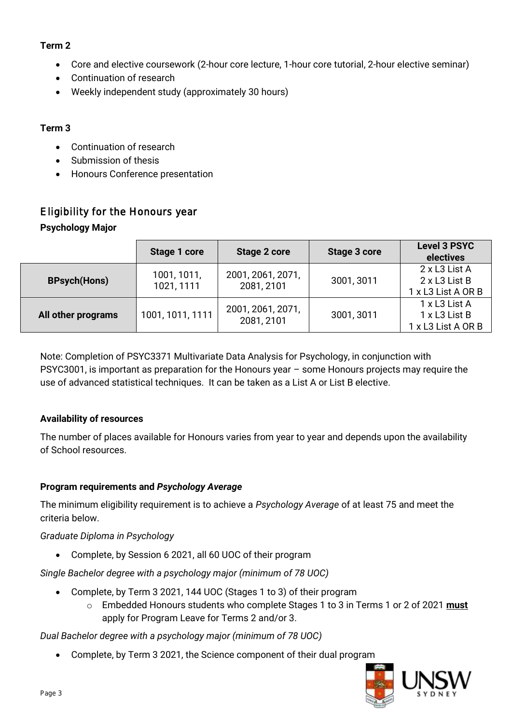# **Term 2**

- Core and elective coursework (2-hour core lecture, 1-hour core tutorial, 2-hour elective seminar)
- Continuation of research
- Weekly independent study (approximately 30 hours)

# **Term 3**

- Continuation of research
- Submission of thesis
- Honours Conference presentation

# <span id="page-2-0"></span>Eligibility for the Honours year **Psychology Major**

|                     | Stage 1 core              | Stage 2 core                    | Stage 3 core | <b>Level 3 PSYC</b><br>electives                     |
|---------------------|---------------------------|---------------------------------|--------------|------------------------------------------------------|
| <b>BPsych(Hons)</b> | 1001, 1011,<br>1021, 1111 | 2001, 2061, 2071,<br>2081, 2101 | 3001, 3011   | 2 x L3 List A<br>2 x L3 List B<br>1 x L3 List A OR B |
| All other programs  | 1001, 1011, 1111          | 2001, 2061, 2071,<br>2081, 2101 | 3001, 3011   | 1 x L3 List A<br>1 x L3 List B<br>1 x L3 List A OR B |

Note: Completion of PSYC3371 Multivariate Data Analysis for Psychology, in conjunction with PSYC3001, is important as preparation for the Honours year – some Honours projects may require the use of advanced statistical techniques. It can be taken as a List A or List B elective.

# **Availability of resources**

The number of places available for Honours varies from year to year and depends upon the availability of School resources.

# **Program requirements and** *Psychology Average*

The minimum eligibility requirement is to achieve a *Psychology Average* of at least 75 and meet the criteria below.

#### *Graduate Diploma in Psychology*

• Complete, by Session 6 2021, all 60 UOC of their program

*Single Bachelor degree with a psychology major (minimum of 78 UOC)*

- Complete, by Term 3 2021, 144 UOC (Stages 1 to 3) of their program
	- o Embedded Honours students who complete Stages 1 to 3 in Terms 1 or 2 of 2021 **must** apply for Program Leave for Terms 2 and/or 3.

# *Dual Bachelor degree with a psychology major (minimum of 78 UOC)*

• Complete, by Term 3 2021, the Science component of their dual program

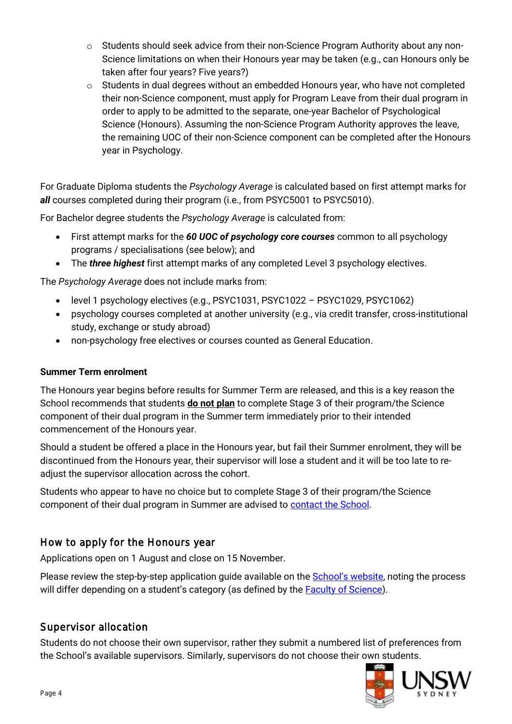- $\circ$  Students should seek advice from their non-Science Program Authority about any non-Science limitations on when their Honours year may be taken (e.g., can Honours only be taken after four years? Five years?)
- o Students in dual degrees without an embedded Honours year, who have not completed their non-Science component, must apply for Program Leave from their dual program in order to apply to be admitted to the separate, one-year Bachelor of Psychological Science (Honours). Assuming the non-Science Program Authority approves the leave, the remaining UOC of their non-Science component can be completed after the Honours year in Psychology.

For Graduate Diploma students the *Psychology Average* is calculated based on first attempt marks for *all* courses completed during their program (i.e., from PSYC5001 to PSYC5010).

For Bachelor degree students the *Psychology Average* is calculated from:

- First attempt marks for the *60 UOC of psychology core courses* common to all psychology programs / specialisations (see below); and
- The *three highest* first attempt marks of any completed Level 3 psychology electives.

The *Psychology Average* does not include marks from:

- level 1 psychology electives (e.g., PSYC1031, PSYC1022 PSYC1029, PSYC1062)
- psychology courses completed at another university (e.g., via credit transfer, cross-institutional study, exchange or study abroad)
- non-psychology free electives or courses counted as General Education.

#### **Summer Term enrolment**

The Honours year begins before results for Summer Term are released, and this is a key reason the School recommends that students **do not plan** to complete Stage 3 of their program/the Science component of their dual program in the Summer term immediately prior to their intended commencement of the Honours year.

Should a student be offered a place in the Honours year, but fail their Summer enrolment, they will be discontinued from the Honours year, their supervisor will lose a student and it will be too late to readjust the supervisor allocation across the cohort.

Students who appear to have no choice but to complete Stage 3 of their program/the Science component of their dual program in Summer are advised t[o contact the School.](https://portal.insight.unsw.edu.au/contact-us/)

#### <span id="page-3-0"></span>How to apply for the Honours year

Applications open on 1 August and close on 15 November.

Please review the step-by-step application guide available on the **[School's website](https://www.psy.unsw.edu.au/current-students/undergraduate/honours)**, noting the process will differ depending on a student's category (as defined by the [Faculty of Science\)](https://www.science.unsw.edu.au/study-us/undergraduate/honours-degrees/honours-how-apply).

#### <span id="page-3-1"></span>Supervisor allocation

Students do not choose their own supervisor, rather they submit a numbered list of preferences from the School's available supervisors. Similarly, supervisors do not choose their own students.

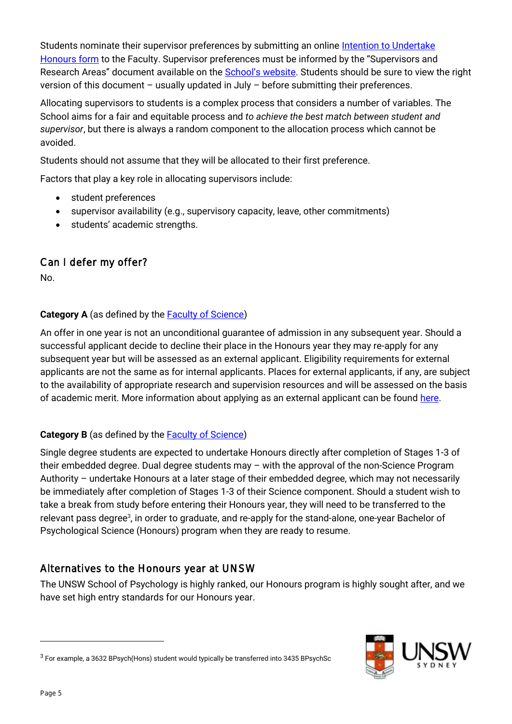Students nominate their supervisor preferences by submitting an online Intention to Undertake [Honours form](https://www.science.unsw.edu.au/study-us/undergraduate/honours-degrees/honours-how-apply) to the Faculty. Supervisor preferences must be informed by the "Supervisors and Research Areas" document available on the [School's website](https://www.psy.unsw.edu.au/current-students/undergraduate/honours). Students should be sure to view the right version of this document – usually updated in July – before submitting their preferences.

Allocating supervisors to students is a complex process that considers a number of variables. The School aims for a fair and equitable process and *to achieve the best match between student and supervisor*, but there is always a random component to the allocation process which cannot be avoided.

Students should not assume that they will be allocated to their first preference.

Factors that play a key role in allocating supervisors include:

- student preferences
- supervisor availability (e.g., supervisory capacity, leave, other commitments)
- students' academic strengths.

# <span id="page-4-0"></span>Can I defer my offer?

No.

#### **Category A** (as defined by the **Faculty of Science**)

An offer in one year is not an unconditional guarantee of admission in any subsequent year. Should a successful applicant decide to decline their place in the Honours year they may re-apply for any subsequent year but will be assessed as an external applicant. Eligibility requirements for external applicants are not the same as for internal applicants. Places for external applicants, if any, are subject to the availability of appropriate research and supervision resources and will be assessed on the basis of academic merit. More information about applying as an external applicant can be found [here.](https://www.psy.unsw.edu.au/future-students/undergraduate/programs/honours)

#### **Category B** (as defined by the **Faculty of Science**)

Single degree students are expected to undertake Honours directly after completion of Stages 1-3 of their embedded degree. Dual degree students may – with the approval of the non-Science Program Authority – undertake Honours at a later stage of their embedded degree, which may not necessarily be immediately after completion of Stages 1-3 of their Science component. Should a student wish to take a break from study before entering their Honours year, they will need to be transferred to the relevant pass degree<sup>3</sup>, in order to graduate, and re-apply for the stand-alone, one-year Bachelor of Psychological Science (Honours) program when they are ready to resume.

# <span id="page-4-1"></span>Alternatives to the Honours year at UNSW

The UNSW School of Psychology is highly ranked, our Honours program is highly sought after, and we have set high entry standards for our Honours year.

 $^3$  For example, a 3632 BPsych(Hons) student would typically be transferred into 3435 BPsychSc



l